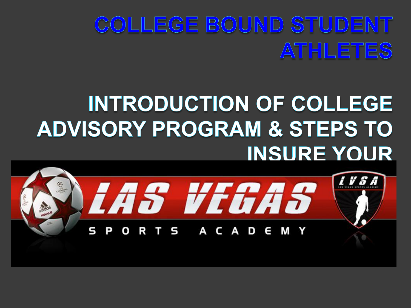## COLLEGE BOUND STUDENT ATHLETES

## **INTRODUCTION OF COLLEGE ADVISORY PROGRAM & STEPS TO INSURE YOUR**

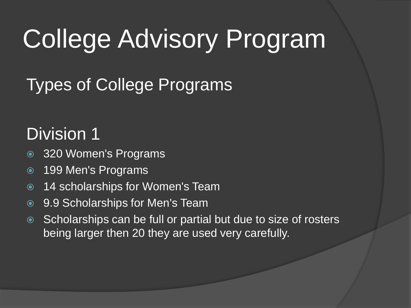### Types of College Programs

### Division 1

- 320 Women's Programs
- 199 Men's Programs
- 14 scholarships for Women's Team
- 9.9 Scholarships for Men's Team
- Scholarships can be full or partial but due to size of rosters being larger then 20 they are used very carefully.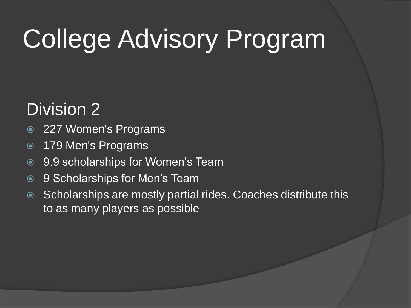### Division 2

- 227 Women's Programs
- 179 Men's Programs
- **9.9 scholarships for Women's Team**
- **◎** 9 Scholarships for Men's Team
- Scholarships are mostly partial rides. Coaches distribute this to as many players as possible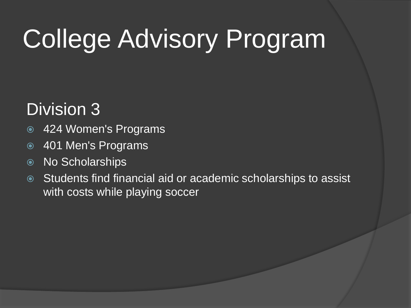### Division 3

- 424 Women's Programs
- 401 Men's Programs
- No Scholarships
- Students find financial aid or academic scholarships to assist with costs while playing soccer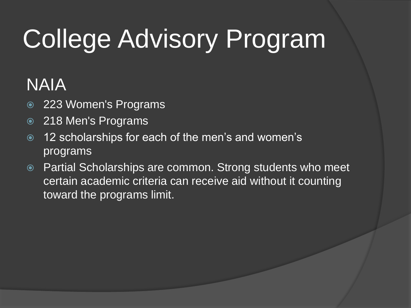### NAIA

- 223 Women's Programs
- 218 Men's Programs
- 12 scholarships for each of the men's and women's programs
- Partial Scholarships are common. Strong students who meet certain academic criteria can receive aid without it counting toward the programs limit.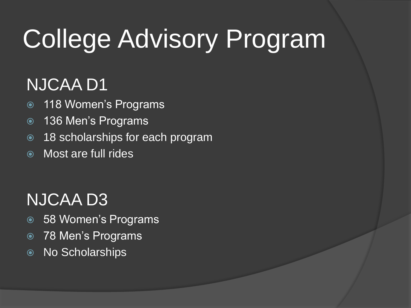### NJCAA D1

- 118 Women's Programs
- 136 Men's Programs
- 18 scholarships for each program
- Most are full rides

### NJCAA D3

- 58 Women's Programs
- 78 Men's Programs
- No Scholarships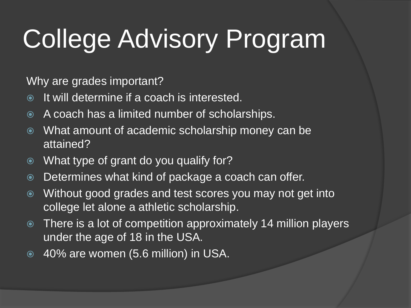Why are grades important?

- $\bullet$  It will determine if a coach is interested.
- A coach has a limited number of scholarships.
- What amount of academic scholarship money can be attained?
- What type of grant do you qualify for?
- Determines what kind of package a coach can offer.
- Without good grades and test scores you may not get into college let alone a athletic scholarship.
- There is a lot of competition approximately 14 million players under the age of 18 in the USA.
- 40% are women (5.6 million) in USA.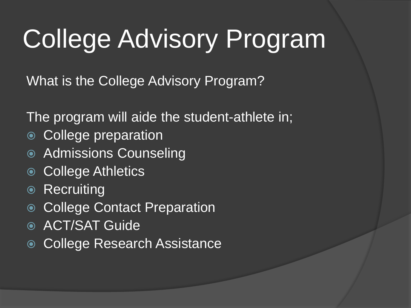What is the College Advisory Program?

The program will aide the student-athlete in;

- College preparation
- Admissions Counseling
- College Athletics
- Recruiting
- College Contact Preparation
- ACT/SAT Guide
- College Research Assistance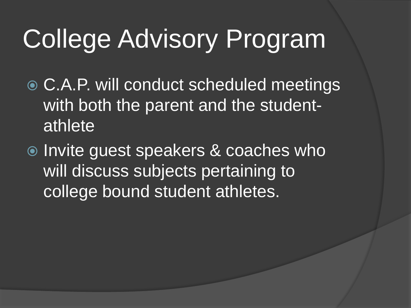- C.A.P. will conduct scheduled meetings with both the parent and the studentathlete
- **◎ Invite guest speakers & coaches who** will discuss subjects pertaining to college bound student athletes.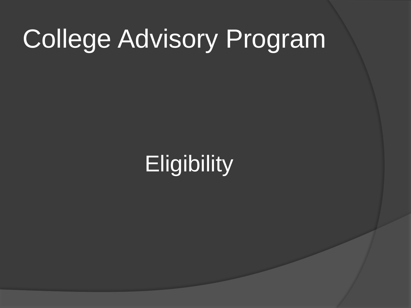## **Eligibility**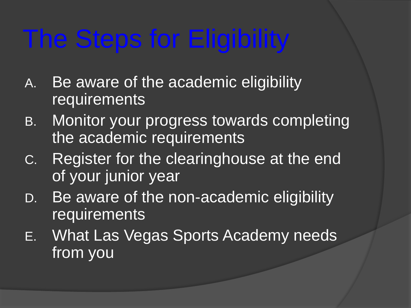# The Steps for Eligibility

- A. Be aware of the academic eligibility requirements
- B. Monitor your progress towards completing the academic requirements
- C. Register for the clearinghouse at the end of your junior year
- D. Be aware of the non-academic eligibility **requirements**
- E. What Las Vegas Sports Academy needs from you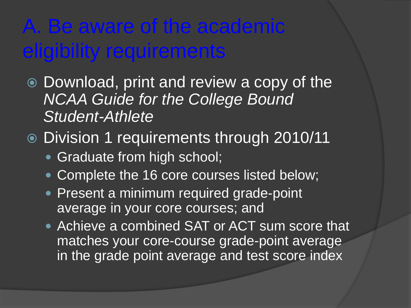## A. Be aware of the academic eligibility requirements

- Download, print and review a copy of the *NCAA Guide for the College Bound Student-Athlete*
- Division 1 requirements through 2010/11
	- Graduate from high school;
	- Complete the 16 core courses listed below;
	- Present a minimum required grade-point average in your core courses; and
	- Achieve a combined SAT or ACT sum score that matches your core-course grade-point average in the grade point average and test score index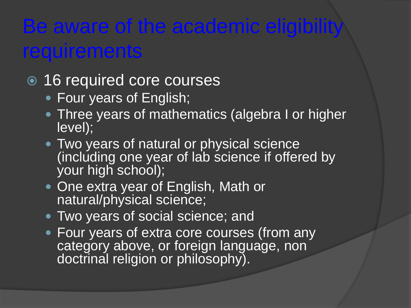## Be aware of the academic eligibility **requirements**

#### 16 required core courses

- Four years of English;
- Three years of mathematics (algebra I or higher level);
- Two years of natural or physical science (including one year of lab science if offered by your high school);
- One extra year of English, Math or natural/physical science;
- **Two years of social science; and**
- Four years of extra core courses (from any category above, or foreign language, non doctrinal religion or philosophy).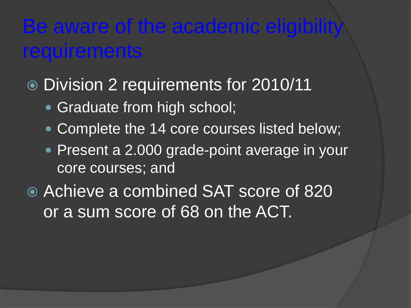### Be aware of the academic eligibility **requirements**

- Division 2 requirements for 2010/11
	- Graduate from high school;
	- Complete the 14 core courses listed below;
	- Present a 2.000 grade-point average in your core courses; and
- Achieve a combined SAT score of 820 or a sum score of 68 on the ACT.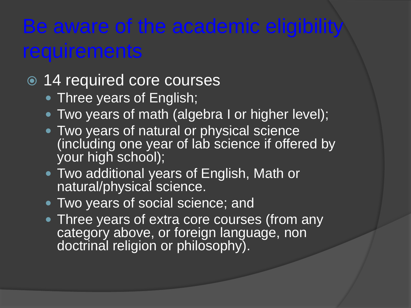## Be aware of the academic eligibility **requirements**

#### 14 required core courses

- Three years of English;
- Two years of math (algebra I or higher level);
- Two years of natural or physical science (including one year of lab science if offered by your high school);
- Two additional years of English, Math or natural/physical science.
- **Two years of social science; and**
- Three years of extra core courses (from any category above, or foreign language, non doctrinal religion or philosophy).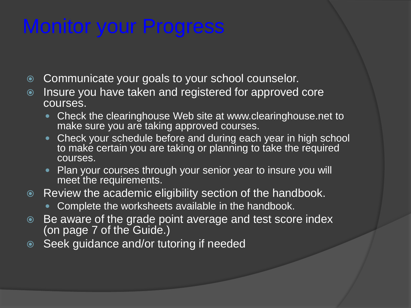## Monitor your Progress

- Communicate your goals to your school counselor.
- Insure you have taken and registered for approved core courses.
	- Check the clearinghouse Web site at www.clearinghouse.net to make sure you are taking approved courses.
	- Check your schedule before and during each year in high school to make certain you are taking or planning to take the required courses.
	- Plan your courses through your senior year to insure you will meet the requirements.
- Review the academic eligibility section of the handbook.
	- Complete the worksheets available in the handbook.
- Be aware of the grade point average and test score index (on page 7 of the Guide.)
- **Seek guidance and/or tutoring if needed**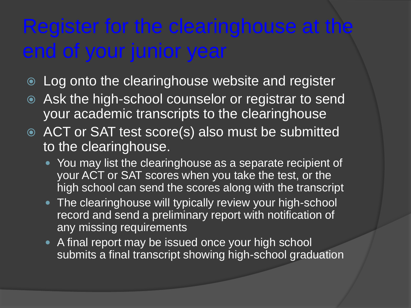## Register for the clearinghouse at the end of your junior year

- $\circ$  Log onto the clearinghouse website and register
- Ask the high-school counselor or registrar to send your academic transcripts to the clearinghouse
- ACT or SAT test score(s) also must be submitted to the clearinghouse.
	- You may list the clearinghouse as a separate recipient of your ACT or SAT scores when you take the test, or the high school can send the scores along with the transcript
	- The clearinghouse will typically review your high-school record and send a preliminary report with notification of any missing requirements
	- A final report may be issued once your high school submits a final transcript showing high-school graduation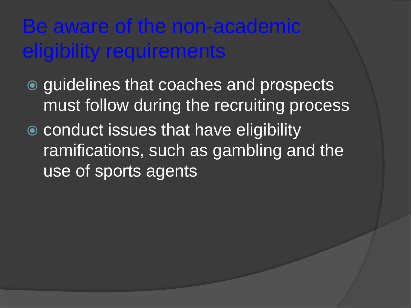### Be aware of the non-academic eligibility requirements

- **◎ guidelines that coaches and prospects** must follow during the recruiting process
- conduct issues that have eligibility ramifications, such as gambling and the use of sports agents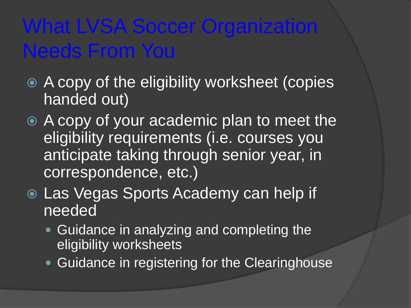## What LVSA Soccer Organization Needs From You

- A copy of the eligibility worksheet (copies handed out)
- A copy of your academic plan to meet the eligibility requirements (i.e. courses you anticipate taking through senior year, in correspondence, etc.)
- Las Vegas Sports Academy can help if needed
	- **Guidance in analyzing and completing the** eligibility worksheets
	- Guidance in registering for the Clearinghouse